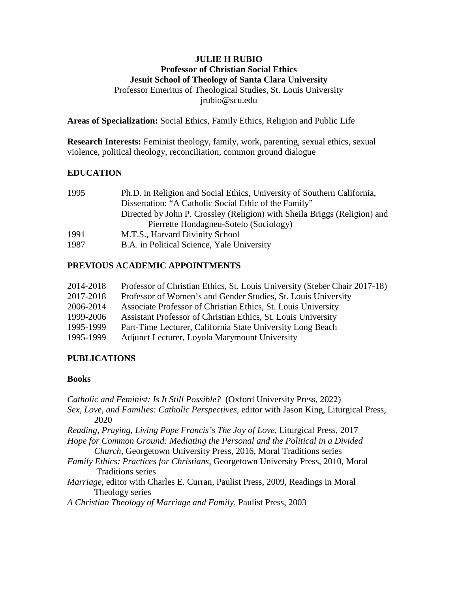### **JULIE H RUBIO Professor of Christian Social Ethics Jesuit School of Theology of Santa Clara University** Professor Emeritus of Theological Studies, St. Louis University jrubio@scu.edu

**Areas of Specialization:** Social Ethics, Family Ethics, Religion and Public Life

**Research Interests:** Feminist theology, family, work, parenting, sexual ethics, sexual violence, political theology, reconciliation, common ground dialogue

# **EDUCATION**

| 1995 | Ph.D. in Religion and Social Ethics, University of Southern California,   |
|------|---------------------------------------------------------------------------|
|      | Dissertation: "A Catholic Social Ethic of the Family"                     |
|      | Directed by John P. Crossley (Religion) with Sheila Briggs (Religion) and |
|      | Pierrette Hondagneu-Sotelo (Sociology)                                    |
| 1991 | M.T.S., Harvard Divinity School                                           |
| 1987 | B.A. in Political Science, Yale University                                |

# **PREVIOUS ACADEMIC APPOINTMENTS**

| 2014-2018 | Professor of Christian Ethics, St. Louis University (Steber Chair 2017-18) |
|-----------|----------------------------------------------------------------------------|
| 2017-2018 | Professor of Women's and Gender Studies, St. Louis University              |
| 2006-2014 | Associate Professor of Christian Ethics, St. Louis University              |
| 1999-2006 | Assistant Professor of Christian Ethics, St. Louis University              |
| 1995-1999 | Part-Time Lecturer, California State University Long Beach                 |
| 1995-1999 | Adjunct Lecturer, Loyola Marymount University                              |

# **PUBLICATIONS**

# **Books**

*Catholic and Feminist: Is It Still Possible?* (Oxford University Press, 2022) *Sex, Love, and Families: Catholic Perspectives,* editor with Jason King, Liturgical Press, 2020 *Reading, Praying, Living Pope Francis's The Joy of Love*, Liturgical Press, 2017 *Hope for Common Ground: Mediating the Personal and the Political in a Divided Church,* Georgetown University Press, 2016, Moral Traditions series *Family Ethics: Practices for Christians*, Georgetown University Press, 2010, Moral Traditions series *Marriage*, editor with Charles E. Curran, Paulist Press, 2009, Readings in Moral Theology series *A Christian Theology of Marriage and Family,* Paulist Press, 2003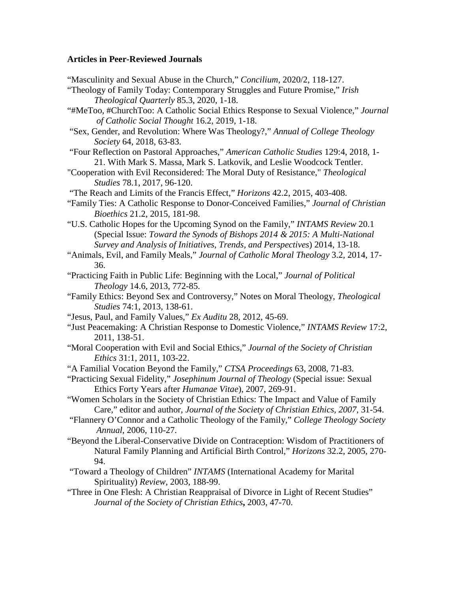#### **Articles in Peer-Reviewed Journals**

"Masculinity and Sexual Abuse in the Church," *Concilium*, 2020/2, 118-127.

- "Theology of Family Today: Contemporary Struggles and Future Promise," *Irish Theological Quarterly* 85.3, 2020, 1-18.
- "#MeToo, #ChurchToo: A Catholic Social Ethics Response to Sexual Violence," *Journal of Catholic Social Thought* 16.2, 2019, 1-18.
- "Sex, Gender, and Revolution: Where Was Theology?," *Annual of College Theology Society* 64, 2018, 63-83.
- "Four Reflection on Pastoral Approaches," *American Catholic Studies* 129:4, 2018, 1- 21. With Mark S. Massa, Mark S. Latkovik, and Leslie Woodcock Tentler.
- "Cooperation with Evil Reconsidered: The Moral Duty of Resistance," *Theological Studies* 78.1, 2017, 96-120.
- "The Reach and Limits of the Francis Effect," *Horizons* 42.2, 2015, 403-408.
- "Family Ties: A Catholic Response to Donor-Conceived Families," *Journal of Christian Bioethics* 21.2, 2015, 181-98.
- "U.S. Catholic Hopes for the Upcoming Synod on the Family," *INTAMS Review* 20.1 (Special Issue: *Toward the Synods of Bishops 2014 & 2015: A Multi-National Survey and Analysis of Initiatives, Trends, and Perspectives*) 2014, 13-18.
- "Animals, Evil, and Family Meals," *Journal of Catholic Moral Theology* 3.2, 2014, 17- 36.
- "Practicing Faith in Public Life: Beginning with the Local," *Journal of Political Theology* 14.6, 2013, 772-85.
- "Family Ethics: Beyond Sex and Controversy," Notes on Moral Theology, *Theological Studies* 74:1, 2013, 138-61.
- "Jesus, Paul, and Family Values," *Ex Auditu* 28, 2012, 45-69.
- "Just Peacemaking: A Christian Response to Domestic Violence," *INTAMS Review* 17:2, 2011, 138-51.
- "Moral Cooperation with Evil and Social Ethics," *Journal of the Society of Christian Ethics* 31:1, 2011, 103-22.
- "A Familial Vocation Beyond the Family," *CTSA Proceedings* 63, 2008, 71-83.
- "Practicing Sexual Fidelity," *Josephinum Journal of Theology* (Special issue: Sexual Ethics Forty Years after *Humanae Vitae*), 2007, 269-91.
- "Women Scholars in the Society of Christian Ethics: The Impact and Value of Family Care," editor and author, *Journal of the Society of Christian Ethics, 2007*, 31-54.
- "Flannery O'Connor and a Catholic Theology of the Family," *College Theology Society Annual*, 2006, 110-27.
- "Beyond the Liberal-Conservative Divide on Contraception: Wisdom of Practitioners of Natural Family Planning and Artificial Birth Control," *Horizons* 32.2, 2005, 270- 94.
- "Toward a Theology of Children" *INTAMS* (International Academy for Marital Spirituality) *Review*, 2003, 188-99.
- "Three in One Flesh: A Christian Reappraisal of Divorce in Light of Recent Studies" *Journal of the Society of Christian Ethics***,** 2003, 47-70.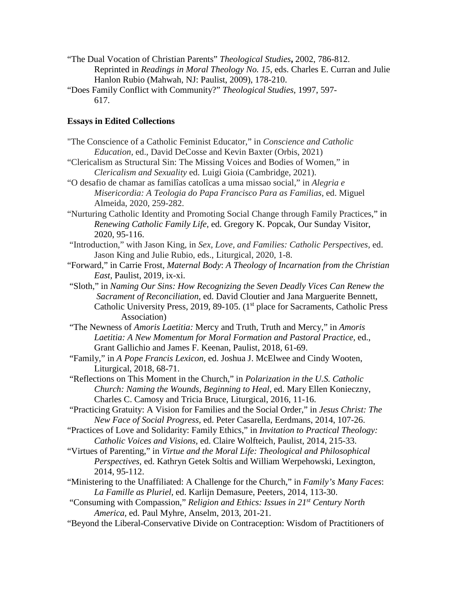- "The Dual Vocation of Christian Parents" *Theological Studies***,** 2002, 786-812. Reprinted in *Readings in Moral Theology No. 15*, eds. Charles E. Curran and Julie Hanlon Rubio (Mahwah, NJ: Paulist, 2009), 178-210.
- "Does Family Conflict with Community?" *Theological Studies*, 1997, 597- 617.

### **Essays in Edited Collections**

- "The Conscience of a Catholic Feminist Educator," in *Conscience and Catholic Education,* ed., David DeCosse and Kevin Baxter (Orbis, 2021) "Clericalism as Structural Sin: The Missing Voices and Bodies of Women," in *Clericalism and Sexuality* ed. Luigi Gioia (Cambridge, 2021). "O desafio de chamar as familîas catolîcas a uma missao social," in *Alegria e Misericordia: A Teologia do Papa Francisco Para as Familias*, ed. Miguel Almeida, 2020, 259-282. "Nurturing Catholic Identity and Promoting Social Change through Family Practices," in *Renewing Catholic Family Life,* ed. Gregory K. Popcak, Our Sunday Visitor, 2020, 95-116. "Introduction," with Jason King, in *Sex, Love, and Families: Catholic Perspectives,* ed. Jason King and Julie Rubio, eds., Liturgical, 2020, 1-8. "Forward," in Carrie Frost, *Maternal Body*: *A Theology of Incarnation from the Christian East,* Paulist, 2019, ix-xi. "Sloth," in *Naming Our Sins: How Recognizing the Seven Deadly Vices Can Renew the Sacrament of Reconciliation*, ed. David Cloutier and Jana Marguerite Bennett, Catholic University Press, 2019, 89-105. (1<sup>st</sup> place for Sacraments, Catholic Press Association) "The Newness of *Amoris Laetitia:* Mercy and Truth, Truth and Mercy," in *Amoris Laetitia: A New Momentum for Moral Formation and Pastoral Practice,* ed., Grant Gallichio and James F. Keenan, Paulist, 2018, 61-69. "Family," in *A Pope Francis Lexicon*, ed. Joshua J. McElwee and Cindy Wooten, Liturgical, 2018, 68-71. "Reflections on This Moment in the Church," in *Polarization in the U.S. Catholic Church: Naming the Wounds, Beginning to Heal,* ed. Mary Ellen Konieczny, Charles C. Camosy and Tricia Bruce, Liturgical, 2016, 11-16. "Practicing Gratuity: A Vision for Families and the Social Order," in *Jesus Christ: The New Face of Social Progress,* ed. Peter Casarella, Eerdmans, 2014, 107-26.
- "Practices of Love and Solidarity: Family Ethics," in *Invitation to Practical Theology: Catholic Voices and Visions,* ed. Claire Wolfteich, Paulist, 2014, 215-33.
- "Virtues of Parenting," in *Virtue and the Moral Life: Theological and Philosophical Perspectives,* ed. Kathryn Getek Soltis and William Werpehowski, Lexington, 2014, 95-112.
- "Ministering to the Unaffiliated: A Challenge for the Church," in *Family's Many Faces*: *La Famille as Pluriel*, ed. Karlijn Demasure, Peeters, 2014, 113-30.
- "Consuming with Compassion," *Religion and Ethics: Issues in 21st Century North America,* ed. Paul Myhre, Anselm, 2013, 201-21.
- "Beyond the Liberal-Conservative Divide on Contraception: Wisdom of Practitioners of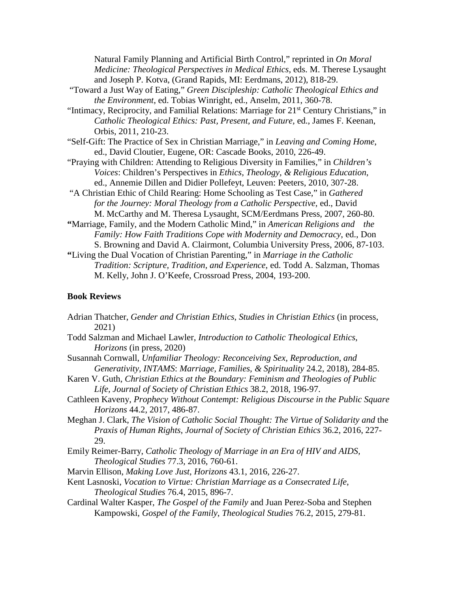Natural Family Planning and Artificial Birth Control," reprinted in *On Moral Medicine: Theological Perspectives in Medical Ethics*, eds. M. Therese Lysaught and Joseph P. Kotva, (Grand Rapids, MI: Eerdmans, 2012), 818-29.

- "Toward a Just Way of Eating," *Green Discipleship: Catholic Theological Ethics and the Environment*, ed. Tobias Winright, ed., Anselm, 2011, 360-78.
- "Intimacy, Reciprocity, and Familial Relations: Marriage for 21<sup>st</sup> Century Christians," in *Catholic Theological Ethics: Past, Present, and Future,* ed., James F. Keenan, Orbis, 2011, 210-23.
- "Self-Gift: The Practice of Sex in Christian Marriage," in *Leaving and Coming Home*, ed., David Cloutier, Eugene, OR: Cascade Books, 2010, 226-49.
- "Praying with Children: Attending to Religious Diversity in Families," in *Children's Voices*: Children's Perspectives in *Ethics, Theology, & Religious Education*, ed., Annemie Dillen and Didier Pollefeyt, Leuven: Peeters, 2010, 307-28.
- "A Christian Ethic of Child Rearing: Home Schooling as Test Case," in *Gathered for the Journey: Moral Theology from a Catholic Perspective*, ed., David M. McCarthy and M. Theresa Lysaught, SCM/Eerdmans Press, 2007, 260-80.
- **"**Marriage, Family, and the Modern Catholic Mind," in *American Religions and the Family: How Faith Traditions Cope with Modernity and Democracy*, ed., Don S. Browning and David A. Clairmont, Columbia University Press, 2006, 87-103.
- **"**Living the Dual Vocation of Christian Parenting," in *Marriage in the Catholic Tradition: Scripture, Tradition, and Experience*, ed. Todd A. Salzman, Thomas M. Kelly, John J. O'Keefe, Crossroad Press, 2004, 193-200.

#### **Book Reviews**

- Adrian Thatcher, *Gender and Christian Ethics*, *Studies in Christian Ethics* (in process, 2021)
- Todd Salzman and Michael Lawler, *Introduction to Catholic Theological Ethics*, *Horizons* (in press, 2020)
- Susannah Cornwall, *Unfamiliar Theology: Reconceiving Sex, Reproduction, and Generativity*, *INTAMS*: *Marriage, Families, & Spirituality* 24.2, 2018), 284-85.
- Karen V. Guth, *Christian Ethics at the Boundary: Feminism and Theologies of Public Life, Journal of Society of Christian Ethics* 38.2, 2018, 196-97.
- Cathleen Kaveny, *Prophecy Without Contempt: Religious Discourse in the Public Square Horizons* 44.2, 2017, 486-87.
- Meghan J. Clark, *The Vision of Catholic Social Thought: The Virtue of Solidarity and* the *Praxis of Human Rights*, *Journal of Society of Christian Ethics* 36.2, 2016, 227- 29.
- Emily Reimer-Barry, *Catholic Theology of Marriage in an Era of HIV and AIDS, Theological Studies* 77.3*,* 2016, 760-61.
- Marvin Ellison, *Making Love Just*, *Horizons* 43.1, 2016, 226-27.
- Kent Lasnoski, *Vocation to Virtue: Christian Marriage as a Consecrated Life*, *Theological Studies* 76.4, 2015, 896-7.
- Cardinal Walter Kasper, *The Gospel of the Family* and Juan Perez-Soba and Stephen Kampowski, *Gospel of the Family*, *Theological Studies* 76.2, 2015, 279-81.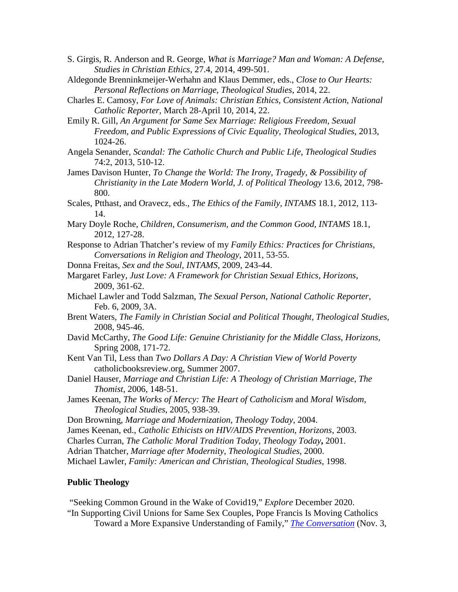- S. Girgis, R. Anderson and R. George, *What is Marriage? Man and Woman: A Defense, Studies in Christian Ethics*, 27.4, 2014, 499-501.
- Aldegonde Brenninkmeijer-Werhahn and Klaus Demmer, eds., *Close to Our Hearts: Personal Reflections on Marriage, Theological Studies*, 2014, 22.
- Charles E. Camosy, *For Love of Animals: Christian Ethics, Consistent Action*, *National Catholic Reporter*, March 28-April 10, 2014, 22.
- Emily R. Gill, *An Argument for Same Sex Marriage: Religious Freedom, Sexual Freedom, and Public Expressions of Civic Equality*, *Theological Studies*, 2013, 1024-26.
- Angela Senander, *Scandal: The Catholic Church and Public Life*, *Theological Studies* 74:2, 2013, 510-12.
- James Davison Hunter, *To Change the World: The Irony, Tragedy, & Possibility of Christianity in the Late Modern World*, *J. of Political Theology* 13.6, 2012, 798- 800.
- Scales, Ptthast, and Oravecz, eds., *The Ethics of the Family*, *INTAMS* 18.1, 2012, 113- 14.
- Mary Doyle Roche, *Children, Consumerism, and the Common Good*, *INTAMS* 18.1, 2012, 127-28.
- Response to Adrian Thatcher's review of my *Family Ethics: Practices for Christians*, *Conversations in Religion and Theology*, 2011, 53-55.
- Donna Freitas, *Sex and the Soul*, *INTAMS*, 2009, 243-44.
- Margaret Farley, *Just Love: A Framework for Christian Sexual Ethics, Horizons*, 2009, 361-62.
- Michael Lawler and Todd Salzman, *The Sexual Person*, *National Catholic Reporter*, Feb. 6, 2009, 3A.
- Brent Waters, *The Family in Christian Social and Political Thought, Theological Studies,* 2008, 945-46.
- David McCarthy, *The Good Life: Genuine Christianity for the Middle Class*, *Horizons,* Spring 2008, 171-72.
- Kent Van Til, Less than *Two Dollars A Day: A Christian View of World Poverty* catholicbooksreview.org, Summer 2007.
- Daniel Hauser, *Marriage and Christian Life: A Theology of Christian Marriage*, *The Thomist*, 2006, 148-51.
- James Keenan, *The Works of Mercy: The Heart of Catholicism* and *Moral Wisdom*, *Theological Studies*, 2005, 938-39.
- Don Browning, *Marriage and Modernization, Theology Today*, 2004.
- James Keenan, ed., *Catholic Ethicists on HIV/AIDS Prevention*, *Horizons*, 2003.
- Charles Curran, *The Catholic Moral Tradition Today*, *Theology Today***,** 2001.
- Adrian Thatcher, *Marriage after Modernity*, *Theological Studies*, 2000.
- Michael Lawler, *Family: American and Christian*, *Theological Studies*, 1998.

#### **Public Theology**

"Seeking Common Ground in the Wake of Covid19," *Explore* December 2020. "In Supporting Civil Unions for Same Sex Couples, Pope Francis Is Moving Catholics Toward a More Expansive Understanding of Family," *[The Conversation](https://theconversation.com/us/ethics)* (Nov. 3,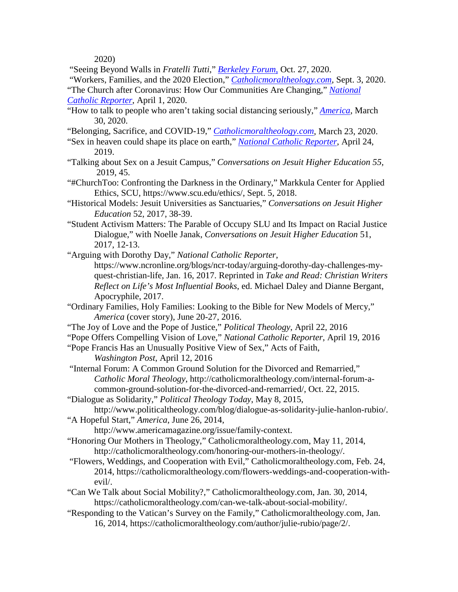2020)

"Seeing Beyond Walls in *Fratelli Tutti*," *[Berkeley Forum](https://berkleycenter.georgetown.edu/responses/seeing-beyond-walls-in-fratelli-tutti-can-catholics-preach-what-they-cannot-do)*, Oct. 27, 2020.

"Workers, Families, and the 2020 Election," *[Catholicmoraltheology.com](https://catholicmoraltheology.com/conscience-at-the-polls-workers-families-and-the-2020-election/?fbclid=IwAR19umgPIn8-7isF5ZNfq8pGvXVWGe43v4xdIlQEsib5sNOvHfXmvI7XBQ8)*, Sept. 3, 2020.

"The Church after Coronavirus: How Our Communities Are Changing," *[National](https://www.ncronline.org/news/parish/church-after-coronavirus-how-our-communities-are-changing)  [Catholic Reporter](https://www.ncronline.org/news/parish/church-after-coronavirus-how-our-communities-are-changing)*, April 1, 2020.

"How to talk to people who aren't taking social distancing seriously," *[America](https://www.americamagazine.org/politics-society/2020/03/27/coronavirus-how-talk-people-arent-taking-social-distancing-seriously)*, March 30, 2020.

"Belonging, Sacrifice, and COVID-19," *[Catholicmoraltheology.com](https://catholicmoraltheology.com/belonging-sacrifice-and-covid19/)*, March 23, 2020.

"Sex in heaven could shape its place on earth," *[National Catholic Reporter](https://www.ncronline.org/news/opinion/author-makes-case-sex-heaven-could-shape-its-place-earth)*, April 24, 2019.

- "Talking about Sex on a Jesuit Campus," *[Conversations on Jesuit Higher Education](https://static1.squarespace.com/static/56172221e4b0d3605b642f70/t/5c3770da03ce6487ab054013/1547137250707/Conv55web.pdf) 55,* 2019, 45.
- "#ChurchToo: Confronting the Darkness in the Ordinary," Markkula Center for Applied Ethics, SCU, [https://www.scu.edu/ethics/,](https://www.scu.edu/ethics/) Sept. 5, 2018.

"Historical Models: Jesuit Universities as Sanctuaries," *Conversations on Jesuit Higher Education* 52, 2017, 38-39.

"Student Activism Matters: The Parable of Occupy SLU and Its Impact on Racial Justice Dialogue," with Noelle Janak, *Conversations on Jesuit Higher Education* 51, 2017, 12-13.

"Arguing with Dorothy Day," *National Catholic Reporter*,

[https://www.ncronline.org/blogs/ncr-today/arguing-dorothy-day-challenges-my](https://www.ncronline.org/blogs/ncr-today/arguing-dorothy-day-challenges-my-)quest-christian-life, Jan. 16, 2017. Reprinted in *Take and Read: Christian Writers Reflect on Life's Most Influential Books*, ed. Michael Daley and Dianne Bergant, Apocryphile, 2017.

- "Ordinary Families, Holy Families: Looking to the Bible for New Models of Mercy," *[America](http://americamagazine.org/issue/ordinary-holy-families)* (cover story), June 20-27, 2016.
- "The Joy of Love and the Pope of Justice," *[Political Theology](http://www.politicaltheology.com/blog/the-joy-of-love-and-the-pope-of-justice-julie-hanlon-rubio/)*, April 22, 2016
- "Pope Offers Compelling Vision of Love," *[National Catholic Reporter](http://ncronline.org/authors/julie-hanlon-rubio)*, April 19, 2016
- "Pope Francis Has an Unusually Positive View of Sex," Acts of Faith, *[Washington Post](https://www.washingtonpost.com/news/acts-of-faith/wp/2016/04/12/pope-francis-has-an-unusually-positive-view-of-sex/)*, April 12, 2016
- "Internal Forum: A Common Ground Solution for the Divorced and Remarried," *Catholic Moral Theology*, [http://catholicmoraltheology.com/internal-forum-a](http://catholicmoraltheology.com/internal-forum-a-common-ground-solution-for-the-divorced-and-remarried/)[common-ground-solution-for-the-divorced-and-remarried/,](http://catholicmoraltheology.com/internal-forum-a-common-ground-solution-for-the-divorced-and-remarried/) Oct. 22, 2015.
- "Dialogue as Solidarity," *Political Theology Today*, May 8, 2015,

http://www.politicaltheology.com/blog/dialogue-as-solidarity-julie-hanlon-rubio/. "A Hopeful Start," *America*, June 26, 2014,

[http://www.americamagazine.org/issue/family-context.](http://www.americamagazine.org/issue/family-context)

"Honoring Our Mothers in Theology," Catholicmoraltheology.com, May 11, 2014, [http://catholicmoraltheology.com/honoring-our-mothers-in-theology/.](http://catholicmoraltheology.com/honoring-our-mothers-in-theology/)

"Flowers, Weddings, and Cooperation with Evil," Catholicmoraltheology.com, Feb. 24, 2014, [https://catholicmoraltheology.com/flowers-weddings-and-cooperation-with](https://catholicmoraltheology.com/flowers-weddings-and-cooperation-with-)evil/.

- "Can We Talk about Social Mobility?," Catholicmoraltheology.com, Jan. 30, 2014, [https://catholicmoraltheology.com/can-we-talk-about-social-mobility/.](https://catholicmoraltheology.com/can-we-talk-about-social-mobility/)
- "Responding to the Vatican's Survey on the Family," Catholicmoraltheology.com, Jan. 16, 2014, https://catholicmoraltheology.com/author/julie-rubio/page/2/.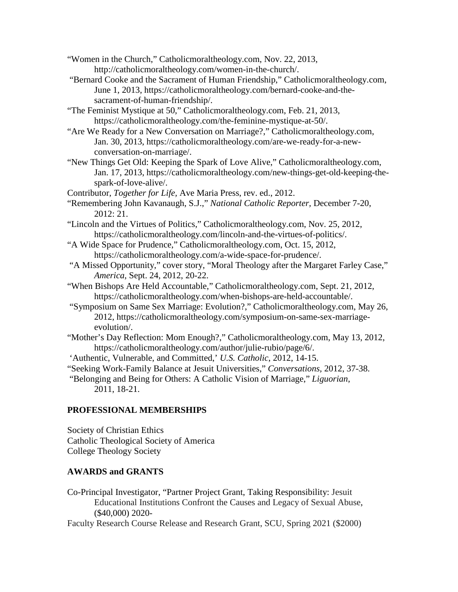"Women in the Church," Catholicmoraltheology.com, Nov. 22, 2013, [http://catholicmoraltheology.com/women-in-the-church/.](http://catholicmoraltheology.com/women-in-the-church/)

"Bernard Cooke and the Sacrament of Human Friendship," Catholicmoraltheology.com, June 1, 2013, [https://catholicmoraltheology.com/bernard-cooke-and-the](https://catholicmoraltheology.com/bernard-cooke-and-the-)sacrament-of-human-friendship/.

"The Feminist Mystique at 50," Catholicmoraltheology.com, Feb. 21, 2013, [https://catholicmoraltheology.com/the-feminine-mystique-at-50/.](https://catholicmoraltheology.com/the-feminine-mystique-at-50/)

"Are We Ready for a New Conversation on Marriage?," Catholicmoraltheology.com, Jan. 30, 2013, [https://catholicmoraltheology.com/are-we-ready-for-a-new](https://catholicmoraltheology.com/are-we-ready-for-a-new-)conversation-on-marriage/.

"New Things Get Old: Keeping the Spark of Love Alive," Catholicmoraltheology.com, Jan. 17, 2013, [https://catholicmoraltheology.com/new-things-get-old-keeping-the](https://catholicmoraltheology.com/new-things-get-old-keeping-the-)spark-of-love-alive/.

Contributor, *Together for Life,* Ave Maria Press, rev. ed., 2012.

"Remembering John Kavanaugh, S.J.," *National Catholic Reporter,* December 7-20, 2012: 21.

- "Lincoln and the Virtues of Politics," Catholicmoraltheology.com, Nov. 25, 2012, [https://catholicmoraltheology.com/lincoln-and-the-virtues-of-politics/.](https://catholicmoraltheology.com/lincoln-and-the-virtues-of-politics/)
- "A Wide Space for Prudence," Catholicmoraltheology.com, Oct. 15, 2012, https://catholicmoraltheology.com/a-wide-space-for-prudence/.
- "A Missed Opportunity," cover story, "Moral Theology after the Margaret Farley Case," *America*, Sept. 24, 2012, 20-22.
- "When Bishops Are Held Accountable," Catholicmoraltheology.com, Sept. 21, 2012, [https://catholicmoraltheology.com/when-bishops-are-held-accountable/.](https://catholicmoraltheology.com/when-bishops-are-held-accountable/)
- "Symposium on Same Sex Marriage: Evolution?," Catholicmoraltheology.com, May 26, 2012, [https://catholicmoraltheology.com/symposium-on-same-sex-marriage](https://catholicmoraltheology.com/symposium-on-same-sex-marriage-)evolution/.
- "Mother's Day Reflection: Mom Enough?," Catholicmoraltheology.com, May 13, 2012, https://catholicmoraltheology.com/author/julie-rubio/page/6/.

'Authentic, Vulnerable, and Committed,' *U.S. Catholic*, 2012, 14-15.

"Seeking Work-Family Balance at Jesuit Universities," *Conversations,* 2012, 37-38.

"Belonging and Being for Others: A Catholic Vision of Marriage," *Liguorian*, 2011, 18-21.

# **PROFESSIONAL MEMBERSHIPS**

Society of Christian Ethics Catholic Theological Society of America College Theology Society

# **AWARDS and GRANTS**

Co-Principal Investigator, "Partner Project Grant, Taking Responsibility: Jesuit Educational Institutions Confront the Causes and Legacy of Sexual Abuse, (\$40,000) 2020-

Faculty Research Course Release and Research Grant, SCU, Spring 2021 (\$2000)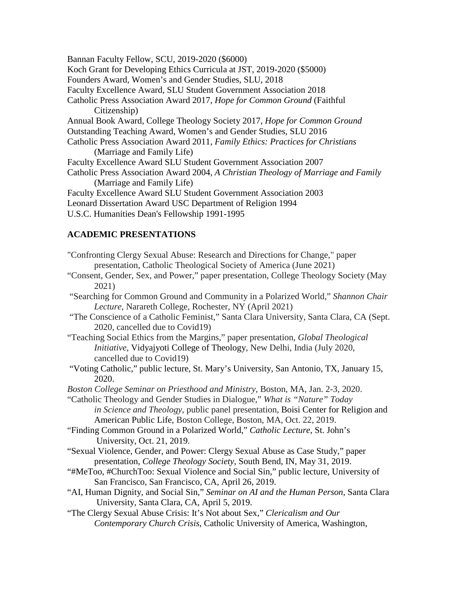Bannan Faculty Fellow, SCU, 2019-2020 (\$6000) Koch Grant for Developing Ethics Curricula at JST, 2019-2020 (\$5000) Founders Award, Women's and Gender Studies, SLU, 2018 Faculty Excellence Award, SLU Student Government Association 2018 Catholic Press Association Award 2017, *Hope for Common Ground* (Faithful Citizenship) Annual Book Award, College Theology Society 2017, *Hope for Common Ground* Outstanding Teaching Award, Women's and Gender Studies, SLU 2016 Catholic Press Association Award 2011, *Family Ethics: Practices for Christians*  (Marriage and Family Life) Faculty Excellence Award SLU Student Government Association 2007 Catholic Press Association Award 2004, *A Christian Theology of Marriage and Family*  (Marriage and Family Life) Faculty Excellence Award SLU Student Government Association 2003 Leonard Dissertation Award USC Department of Religion 1994 U.S.C. Humanities Dean's Fellowship 1991-1995

### **ACADEMIC PRESENTATIONS**

"Confronting Clergy Sexual Abuse: Research and Directions for Change," paper presentation, Catholic Theological Society of America (June 2021)

"Consent, Gender, Sex, and Power," paper presentation, College Theology Society (May 2021)

"Searching for Common Ground and Community in a Polarized World," *Shannon Chair Lecture*, Narareth College, Rochester, NY (April 2021)

- "The Conscience of a Catholic Feminist," Santa Clara University, Santa Clara, CA (Sept. 2020, cancelled due to Covid19)
- "Teaching Social Ethics from the Margins," paper presentation, *Global Theological Initiative*, Vidyajyoti College of Theology, New Delhi, India (July 2020, cancelled due to Covid19)
- "Voting Catholic," public lecture, St. Mary's University, San Antonio, TX, January 15, 2020.

*Boston College Seminar on Priesthood and Ministry*, Boston, MA, Jan. 2-3, 2020.

- "Catholic Theology and Gender Studies in Dialogue," *What is "Nature" Today in Science and Theology,* public panel presentation, Boisi Center for Religion and American Public Life, Boston College, Boston, MA, Oct. 22, 2019.
- "Finding Common Ground in a Polarized World," *Catholic Lecture*, St. John's University, Oct. 21, 2019.
- "Sexual Violence, Gender, and Power: Clergy Sexual Abuse as Case Study," paper presentation, *College Theology Society*, South Bend, IN, May 31, 2019.
- "#MeToo, #ChurchToo: Sexual Violence and Social Sin," public lecture, University of San Francisco, San Francisco, CA, April 26, 2019.
- "AI, Human Dignity, and Social Sin," *Seminar on AI and the Human Person*, Santa Clara University, Santa Clara, CA, April 5, 2019.
- "The Clergy Sexual Abuse Crisis: It's Not about Sex," *Clericalism and Our Contemporary Church Crisis*, Catholic University of America, Washington,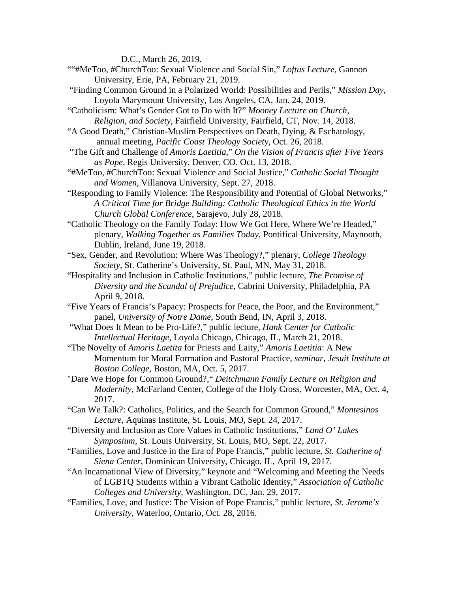D.C., March 26, 2019.

- ""#MeToo, #ChurchToo: Sexual Violence and Social Sin," *Loftus Lecture*, Gannon University, Erie, PA, February 21, 2019.
- "Finding Common Ground in a Polarized World: Possibilities and Perils," *Mission Day,* Loyola Marymount University, Los Angeles, CA, Jan. 24, 2019.

"Catholicism: What's Gender Got to Do with It?" *Mooney Lecture on Church, Religion, and Society,* Fairfield University, Fairfield, CT, Nov. 14, 2018.

- "A Good Death," Christian-Muslim Perspectives on Death, Dying, & Eschatology, annual meeting, *Pacific Coast Theology Society*, Oct. 26, 2018.
- "The Gift and Challenge of *Amoris Laetitia*," *On the Vision of Francis after Five Years as Pope*, Regis University, Denver, CO. Oct. 13, 2018.
- "#MeToo, #ChurchToo: Sexual Violence and Social Justice," *Catholic Social Thought and Women*, Villanova University, Sept. 27, 2018.
- "Responding to Family Violence: The Responsibility and Potential of Global Networks," *A Critical Time for Bridge Building: Catholic Theological Ethics in the World Church Global Conference*, Sarajevo, July 28, 2018.
- "Catholic Theology on the Family Today: How We Got Here, Where We're Headed," plenary, *Walking Together as Families Today*, Pontifical University, Maynooth, Dublin, Ireland, June 19, 2018.
- "Sex, Gender, and Revolution: Where Was Theology?," plenary, *College Theology Society*, St. Catherine's University, St. Paul, MN, May 31, 2018.
- "Hospitality and Inclusion in Catholic Institutions," public lecture, *The Promise of Diversity and the Scandal of Prejudice*, Cabrini University, Philadelphia, PA April 9, 2018.
- "Five Years of Francis's Papacy: Prospects for Peace, the Poor, and the Environment," panel, *University of Notre Dame*, South Bend, IN, April 3, 2018.
- "What Does It Mean to be Pro-Life?," public lecture, *Hank Center for Catholic Intellectual Heritage,* Loyola Chicago, Chicago, IL, March 21, 2018.
- "The Novelty of *Amoris Laetita* for Priests and Laity," *Amoris Laetitia*: A New Momentum for Moral Formation and Pastoral Practice, *seminar, Jesuit Institute at Boston College*, Boston, MA, Oct. 5, 2017.
- "Dare We Hope for Common Ground?," *Deitchmann Family Lecture on Religion and Modernity,* McFarland Center, College of the Holy Cross, Worcester, MA, Oct. 4, 2017.
- "Can We Talk?: Catholics, Politics, and the Search for Common Ground," *Montesinos Lecture*, Aquinas Institute, St. Louis, MO, Sept. 24, 2017.
- "Diversity and Inclusion as Core Values in Catholic Institutions," *Land O' Lakes Symposium*, St. Louis University, St. Louis, MO, Sept. 22, 2017.
- "Families, Love and Justice in the Era of Pope Francis," public lecture, *St. Catherine of Siena Center*, Dominican University, Chicago, IL, April 19, 2017.
- "An Incarnational View of Diversity," keynote and "Welcoming and Meeting the Needs of LGBTQ Students within a Vibrant Catholic Identity," *Association of Catholic Colleges and University*, Washington, DC, Jan. 29, 2017.
- "Families, Love, and Justice: The Vision of Pope Francis," public lecture, *St. Jerome's University,* Waterloo, Ontario, Oct. 28, 2016.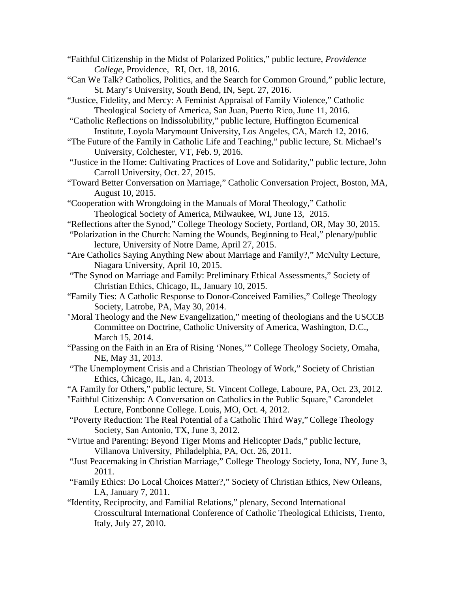- "Faithful Citizenship in the Midst of Polarized Politics," public lecture, *Providence College*, Providence, RI, Oct. 18, 2016.
- "Can We Talk? Catholics, Politics, and the Search for Common Ground," public lecture, St. Mary's University, South Bend, IN, Sept. 27, 2016.
- "Justice, Fidelity, and Mercy: A Feminist Appraisal of Family Violence," Catholic Theological Society of America, San Juan, Puerto Rico, June 11, 2016.
- "Catholic Reflections on Indissolubility," public lecture, Huffington Ecumenical Institute, Loyola Marymount University, Los Angeles, CA, March 12, 2016.
- "The Future of the Family in Catholic Life and Teaching," public lecture, St. Michael's University, Colchester, VT, Feb. 9, 2016.
- "Justice in the Home: Cultivating Practices of Love and Solidarity," public lecture, John Carroll University, Oct. 27, 2015.
- "Toward Better Conversation on Marriage," Catholic Conversation Project, Boston, MA, August 10, 2015.
- "Cooperation with Wrongdoing in the Manuals of Moral Theology," Catholic Theological Society of America, Milwaukee, WI, June 13, 2015.
- "Reflections after the Synod," College Theology Society, Portland, OR, May 30, 2015.
- "Polarization in the Church: Naming the Wounds, Beginning to Heal," plenary/public lecture, University of Notre Dame, April 27, 2015.
- "Are Catholics Saying Anything New about Marriage and Family?," McNulty Lecture, Niagara University, April 10, 2015.
- "The Synod on Marriage and Family: Preliminary Ethical Assessments," Society of Christian Ethics, Chicago, IL, January 10, 2015.
- "Family Ties: A Catholic Response to Donor-Conceived Families," College Theology Society, Latrobe, PA, May 30, 2014.
- "Moral Theology and the New Evangelization," meeting of theologians and the USCCB Committee on Doctrine, Catholic University of America, Washington, D.C., March 15, 2014.
- "Passing on the Faith in an Era of Rising 'Nones,'" College Theology Society, Omaha, NE, May 31, 2013.
- "The Unemployment Crisis and a Christian Theology of Work," Society of Christian Ethics, Chicago, IL, Jan. 4, 2013.
- "A Family for Others," public lecture, St. Vincent College, Laboure, PA, Oct. 23, 2012.
- "Faithful Citizenship: A Conversation on Catholics in the Public Square," Carondelet Lecture, Fontbonne College. Louis, MO, Oct. 4, 2012.
- "Poverty Reduction: The Real Potential of a Catholic Third Way,"College Theology Society, San Antonio, TX, June 3, 2012.
- "Virtue and Parenting: Beyond Tiger Moms and Helicopter Dads," public lecture, Villanova University, Philadelphia, PA, Oct. 26, 2011.
- "Just Peacemaking in Christian Marriage," College Theology Society, Iona, NY, June 3, 2011.
- "Family Ethics: Do Local Choices Matter?," Society of Christian Ethics, New Orleans, LA, January 7, 2011.
- "Identity, Reciprocity, and Familial Relations," plenary, Second International Crosscultural International Conference of Catholic Theological Ethicists, Trento, Italy, July 27, 2010.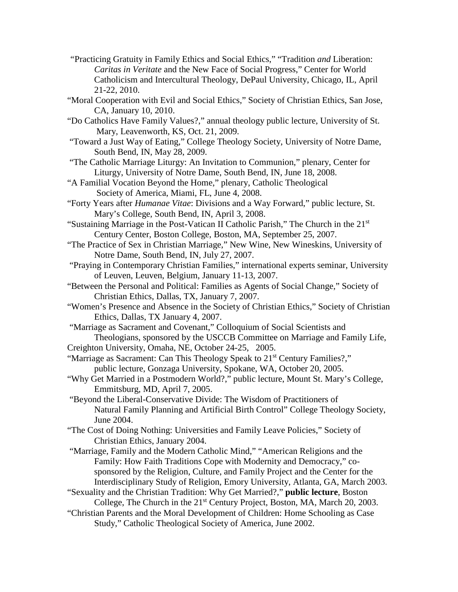- *"*Practicing Gratuity in Family Ethics and Social Ethics," "Tradition *and* Liberation: *Caritas in Veritate* and the New Face of Social Progress," Center for World Catholicism and Intercultural Theology, DePaul University, Chicago, IL, April 21-22, 2010.
- "Moral Cooperation with Evil and Social Ethics," Society of Christian Ethics, San Jose, CA, January 10, 2010.
- "Do Catholics Have Family Values?," annual theology public lecture, University of St. Mary, Leavenworth, KS, Oct. 21, 2009.
- "Toward a Just Way of Eating," College Theology Society, University of Notre Dame, South Bend, IN, May 28, 2009.
- "The Catholic Marriage Liturgy: An Invitation to Communion," plenary, Center for Liturgy, University of Notre Dame, South Bend, IN, June 18, 2008.
- "A Familial Vocation Beyond the Home," plenary, Catholic Theological Society of America, Miami, FL, June 4, 2008.
- "Forty Years after *Humanae Vitae*: Divisions and a Way Forward," public lecture, St. Mary's College, South Bend, IN, April 3, 2008.
- "Sustaining Marriage in the Post-Vatican II Catholic Parish," The Church in the 21st Century Center, Boston College, Boston, MA, September 25, 2007.
- "The Practice of Sex in Christian Marriage," New Wine, New Wineskins, University of Notre Dame, South Bend, IN, July 27, 2007.
- "Praying in Contemporary Christian Families," international experts seminar, University of Leuven, Leuven, Belgium, January 11-13, 2007.
- "Between the Personal and Political: Families as Agents of Social Change," Society of Christian Ethics, Dallas, TX, January 7, 2007.
- "Women's Presence and Absence in the Society of Christian Ethics," Society of Christian Ethics, Dallas, TX January 4, 2007.
- "Marriage as Sacrament and Covenant," Colloquium of Social Scientists and Theologians, sponsored by the USCCB Committee on Marriage and Family Life,

Creighton University, Omaha, NE, October 24-25, 2005.

- "Marriage as Sacrament: Can This Theology Speak to 21<sup>st</sup> Century Families?," public lecture, Gonzaga University, Spokane, WA, October 20, 2005.
- "Why Get Married in a Postmodern World?," public lecture, Mount St. Mary's College, Emmitsburg, MD, April 7, 2005.
- "Beyond the Liberal-Conservative Divide: The Wisdom of Practitioners of Natural Family Planning and Artificial Birth Control" College Theology Society, June 2004.
- "The Cost of Doing Nothing: Universities and Family Leave Policies," Society of Christian Ethics, January 2004.
- "Marriage, Family and the Modern Catholic Mind," "American Religions and the Family: How Faith Traditions Cope with Modernity and Democracy," cosponsored by the Religion, Culture, and Family Project and the Center for the Interdisciplinary Study of Religion, Emory University, Atlanta, GA, March 2003.
- "Sexuality and the Christian Tradition: Why Get Married?," **public lecture**, Boston College, The Church in the  $21<sup>st</sup>$  Century Project, Boston, MA, March 20, 2003.
- "Christian Parents and the Moral Development of Children: Home Schooling as Case Study," Catholic Theological Society of America, June 2002.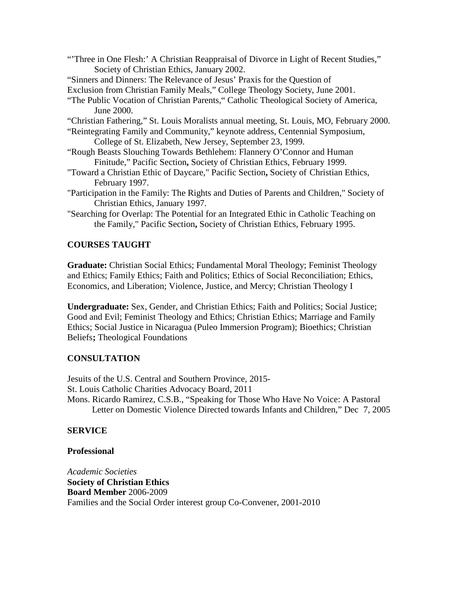"Three in One Flesh:' A Christian Reappraisal of Divorce in Light of Recent Studies," Society of Christian Ethics, January 2002.

"Sinners and Dinners: The Relevance of Jesus' Praxis for the Question of

Exclusion from Christian Family Meals," College Theology Society, June 2001.

- "The Public Vocation of Christian Parents," Catholic Theological Society of America, June 2000.
- "Christian Fathering," St. Louis Moralists annual meeting, St. Louis, MO, February 2000.

"Reintegrating Family and Community," keynote address, Centennial Symposium, College of St. Elizabeth, New Jersey, September 23, 1999.

- "Rough Beasts Slouching Towards Bethlehem: Flannery O'Connor and Human Finitude," Pacific Section**,** Society of Christian Ethics, February 1999.
- "Toward a Christian Ethic of Daycare," Pacific Section**,** Society of Christian Ethics, February 1997.
- "Participation in the Family: The Rights and Duties of Parents and Children," Society of Christian Ethics, January 1997.
- "Searching for Overlap: The Potential for an Integrated Ethic in Catholic Teaching on the Family," Pacific Section**,** Society of Christian Ethics, February 1995.

### **COURSES TAUGHT**

**Graduate:** Christian Social Ethics; Fundamental Moral Theology; Feminist Theology and Ethics; Family Ethics; Faith and Politics; Ethics of Social Reconciliation; Ethics, Economics, and Liberation; Violence, Justice, and Mercy; Christian Theology I

**Undergraduate:** Sex, Gender, and Christian Ethics; Faith and Politics; Social Justice; Good and Evil; Feminist Theology and Ethics; Christian Ethics; Marriage and Family Ethics; Social Justice in Nicaragua (Puleo Immersion Program); Bioethics; Christian Beliefs**;** Theological Foundations

### **CONSULTATION**

Jesuits of the U.S. Central and Southern Province, 2015- St. Louis Catholic Charities Advocacy Board, 2011 Mons. Ricardo Ramirez, C.S.B., "Speaking for Those Who Have No Voice: A Pastoral Letter on Domestic Violence Directed towards Infants and Children," Dec 7, 2005

### **SERVICE**

#### **Professional**

*Academic Societies* **Society of Christian Ethics Board Member** 2006-2009 Families and the Social Order interest group Co-Convener, 2001-2010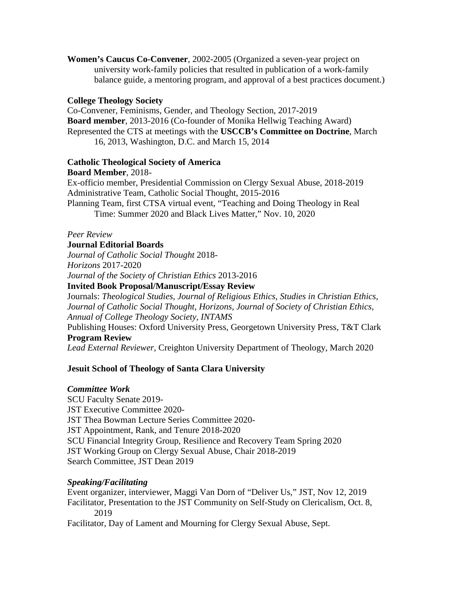**Women's Caucus Co-Convener**, 2002-2005 (Organized a seven-year project on university work-family policies that resulted in publication of a work-family balance guide, a mentoring program, and approval of a best practices document.)

### **College Theology Society**

Co-Convener, Feminisms, Gender, and Theology Section, 2017-2019 **Board member**, 2013-2016 (Co-founder of Monika Hellwig Teaching Award) Represented the CTS at meetings with the **USCCB's Committee on Doctrine**, March 16, 2013, Washington, D.C. and March 15, 2014

### **Catholic Theological Society of America**

**Board Member**, 2018- Ex-officio member, Presidential Commission on Clergy Sexual Abuse, 2018-2019 Administrative Team, Catholic Social Thought, 2015-2016 Planning Team, first CTSA virtual event, "Teaching and Doing Theology in Real Time: Summer 2020 and Black Lives Matter," Nov. 10, 2020

### *Peer Review*

# **Journal Editorial Boards**

*Journal of Catholic Social Thought* 2018- *Horizons* 2017-2020 *Journal of the Society of Christian Ethics* 2013-2016

**Invited Book Proposal/Manuscript/Essay Review**

Journals: *Theological Studies, Journal of Religious Ethics, Studies in Christian Ethics, Journal of Catholic Social Thought, Horizons, Journal of Society of Christian Ethics, Annual of College Theology Society, INTAMS*

Publishing Houses: Oxford University Press*,* Georgetown University Press, T&T Clark **Program Review**

*Lead External Reviewer,* Creighton University Department of Theology, March 2020

# **Jesuit School of Theology of Santa Clara University**

### *Committee Work*

SCU Faculty Senate 2019- JST Executive Committee 2020- JST Thea Bowman Lecture Series Committee 2020- JST Appointment, Rank, and Tenure 2018-2020 SCU Financial Integrity Group, Resilience and Recovery Team Spring 2020 JST Working Group on Clergy Sexual Abuse, Chair 2018-2019 Search Committee, JST Dean 2019

### *Speaking/Facilitating*

Event organizer, interviewer, Maggi Van Dorn of "Deliver Us," JST, Nov 12, 2019 Facilitator, Presentation to the JST Community on Self-Study on Clericalism, Oct. 8, 2019

Facilitator, Day of Lament and Mourning for Clergy Sexual Abuse, Sept.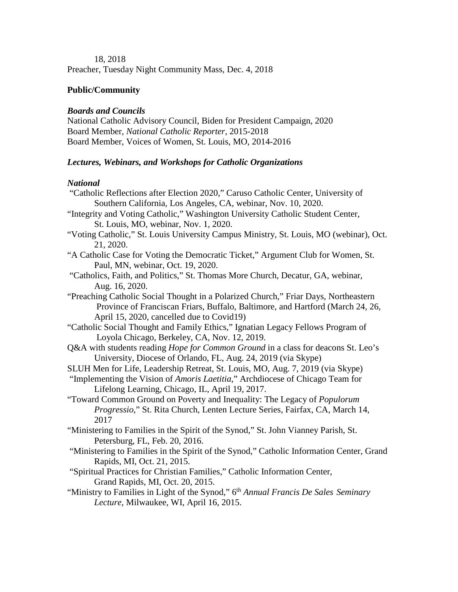18, 2018

Preacher, Tuesday Night Community Mass, Dec. 4, 2018

# **Public/Community**

#### *Boards and Councils*

National Catholic Advisory Council, Biden for President Campaign, 2020 Board Member, *National Catholic Reporter*, 2015-2018 Board Member, Voices of Women, St. Louis, MO, 2014-2016

# *Lectures, Webinars, and Workshops for Catholic Organizations*

### *National*

| "Catholic Reflections after Election 2020," Caruso Catholic Center, University of              |
|------------------------------------------------------------------------------------------------|
| Southern California, Los Angeles, CA, webinar, Nov. 10, 2020.                                  |
| "Integrity and Voting Catholic," Washington University Catholic Student Center,                |
| St. Louis, MO, webinar, Nov. 1, 2020.                                                          |
| "Voting Catholic," St. Louis University Campus Ministry, St. Louis, MO (webinar), Oct.         |
| 21, 2020.                                                                                      |
| "A Catholic Case for Voting the Democratic Ticket," Argument Club for Women, St.               |
| Paul, MN, webinar, Oct. 19, 2020.                                                              |
| "Catholics, Faith, and Politics," St. Thomas More Church, Decatur, GA, webinar,                |
| Aug. 16, 2020.                                                                                 |
| "Preaching Catholic Social Thought in a Polarized Church," Friar Days, Northeastern            |
| Province of Franciscan Friars, Buffalo, Baltimore, and Hartford (March 24, 26,                 |
| April 15, 2020, cancelled due to Covid19)                                                      |
| "Catholic Social Thought and Family Ethics," Ignatian Legacy Fellows Program of                |
| Loyola Chicago, Berkeley, CA, Nov. 12, 2019.                                                   |
| Q&A with students reading Hope for Common Ground in a class for deacons St. Leo's              |
| University, Diocese of Orlando, FL, Aug. 24, 2019 (via Skype)                                  |
| SLUH Men for Life, Leadership Retreat, St. Louis, MO, Aug. 7, 2019 (via Skype)                 |
| "Implementing the Vision of Amoris Laetitia," Archdiocese of Chicago Team for                  |
| Lifelong Learning, Chicago, IL, April 19, 2017.                                                |
| "Toward Common Ground on Poverty and Inequality: The Legacy of Populorum                       |
| Progressio," St. Rita Church, Lenten Lecture Series, Fairfax, CA, March 14,                    |
| 2017                                                                                           |
| "Ministering to Families in the Spirit of the Synod," St. John Vianney Parish, St.             |
| Petersburg, FL, Feb. 20, 2016.                                                                 |
| "Ministering to Families in the Spirit of the Synod," Catholic Information Center, Grand       |
| Rapids, MI, Oct. 21, 2015.                                                                     |
| "Spiritual Practices for Christian Families," Catholic Information Center,                     |
| Grand Rapids, MI, Oct. 20, 2015.                                                               |
| "Ministry to Families in Light of the Synod," 6 <sup>th</sup> Annual Francis De Sales Seminary |
| Lecture, Milwaukee, WI, April 16, 2015.                                                        |
|                                                                                                |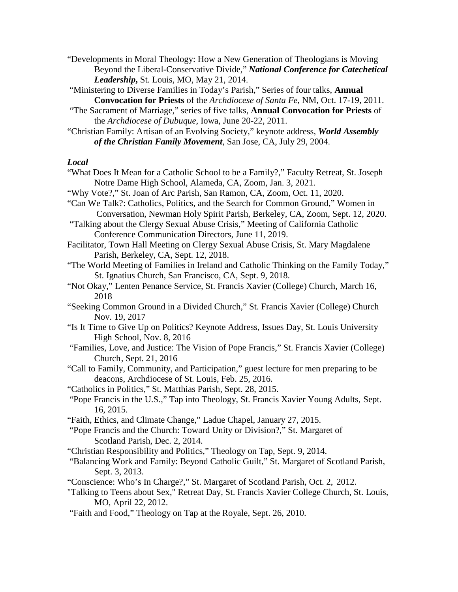"Developments in Moral Theology: How a New Generation of Theologians is Moving Beyond the Liberal-Conservative Divide," *National Conference for Catechetical Leadership***,** St. Louis, MO, May 21, 2014.

"Ministering to Diverse Families in Today's Parish," Series of four talks, **Annual Convocation for Priests** of the *Archdiocese of Santa Fe*, NM, Oct. 17-19, 2011.

- "The Sacrament of Marriage," series of five talks, **Annual Convocation for Priests** of the *Archdiocese of Dubuque*, Iowa, June 20-22, 2011.
- "Christian Family: Artisan of an Evolving Society," keynote address, *World Assembly of the Christian Family Movement*, San Jose, CA, July 29, 2004.

#### *Local*

- "What Does It Mean for a Catholic School to be a Family?," Faculty Retreat, St. Joseph Notre Dame High School, Alameda, CA, Zoom, Jan. 3, 2021.
- "Why Vote?," St. Joan of Arc Parish, San Ramon, CA, Zoom, Oct. 11, 2020.
- "Can We Talk?: Catholics, Politics, and the Search for Common Ground," Women in Conversation, Newman Holy Spirit Parish, Berkeley, CA, Zoom, Sept. 12, 2020.
- "Talking about the Clergy Sexual Abuse Crisis," Meeting of California Catholic Conference Communication Directors, June 11, 2019.
- Facilitator, Town Hall Meeting on Clergy Sexual Abuse Crisis, St. Mary Magdalene Parish, Berkeley, CA, Sept. 12, 2018.
- "The World Meeting of Families in Ireland and Catholic Thinking on the Family Today," St. Ignatius Church, San Francisco, CA, Sept. 9, 2018.
- "Not Okay," Lenten Penance Service, St. Francis Xavier (College) Church, March 16, 2018
- "Seeking Common Ground in a Divided Church," St. Francis Xavier (College) Church Nov. 19, 2017
- "Is It Time to Give Up on Politics? Keynote Address, Issues Day, St. Louis University High School, Nov. 8, 2016
- "Families, Love, and Justice: The Vision of Pope Francis," St. Francis Xavier (College) Church, Sept. 21, 2016
- "Call to Family, Community, and Participation," guest lecture for men preparing to be deacons, Archdiocese of St. Louis, Feb. 25, 2016.
- "Catholics in Politics," St. Matthias Parish, Sept. 28, 2015.
- "Pope Francis in the U.S.," Tap into Theology, St. Francis Xavier Young Adults, Sept. 16, 2015.
- "Faith, Ethics, and Climate Change," Ladue Chapel, January 27, 2015.
- "Pope Francis and the Church: Toward Unity or Division?," St. Margaret of Scotland Parish, Dec. 2, 2014.
- "Christian Responsibility and Politics," Theology on Tap, Sept. 9, 2014.
- "Balancing Work and Family: Beyond Catholic Guilt," St. Margaret of Scotland Parish, Sept. 3, 2013.
- "Conscience: Who's In Charge?," St. Margaret of Scotland Parish, Oct. 2, 2012.
- "Talking to Teens about Sex," Retreat Day, St. Francis Xavier College Church, St. Louis, MO, April 22, 2012.
- "Faith and Food," Theology on Tap at the Royale, Sept. 26, 2010.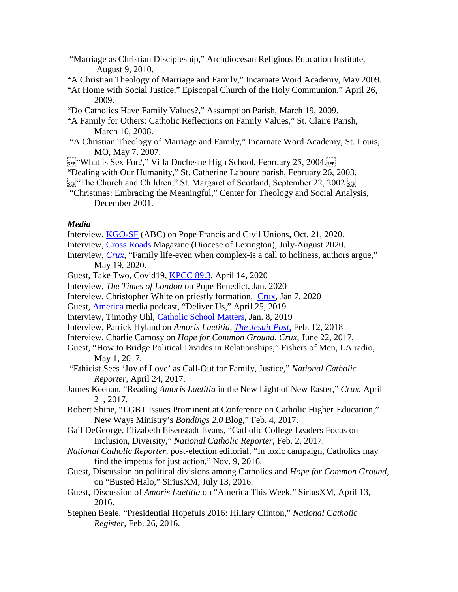- "Marriage as Christian Discipleship," Archdiocesan Religious Education Institute, August 9, 2010.
- "A Christian Theology of Marriage and Family," Incarnate Word Academy, May 2009.
- "At Home with Social Justice," Episcopal Church of the Holy Communion," April 26, 2009.
- "Do Catholics Have Family Values?," Assumption Parish, March 19, 2009.
- "A Family for Others: Catholic Reflections on Family Values," St. Claire Parish, March 10, 2008.
- "A Christian Theology of Marriage and Family," Incarnate Word Academy, St. Louis, MO, May 7, 2007.
- $\frac{1}{12}$  What is Sex For?," Villa Duchesne High School, February 25, 2004.
- "Dealing with Our Humanity," St. Catherine Laboure parish, February 26, 2003.
- $\frac{17.73}{15}$  The Church and Children," St. Margaret of Scotland, September 22, 2002.
- "Christmas: Embracing the Meaningful," Center for Theology and Social Analysis, December 2001.

#### *Media*

- Interview, [KGO-SF](https://mms.tveyes.com/MediaCenterPlayer.aspx?u=aHR0cDovL21lZGlhY2VudGVyLnR2ZXllcy5jb20vZG93bmxvYWRnYXRld2F5LmFzcHg%2FVXNlcklEPTI3Nzg1NSZNRElEPTEzOTg5MDcyJk1EU2VlZD05Nzk5JlR5cGU9TWVkaWE%3D) (ABC) on Pope Francis and Civil Unions, Oct. 21, 2020.
- Interview, [Cross Roads](https://cdlex.org/woman-in-the-church-) Magazine (Diocese of Lexington), July-August 2020.
- Interview, *[Crux](https://cruxnow.com/church-in-the-usa/2020/05/family-life-even-when-complex-is-a-call-to-holiness-authors-argue/)*, "Family life-even when complex-is a call to holiness, authors argue," May 19, 2020.
- Guest, Take Two, Covid19, [KPCC 89.3,](https://www.scpr.org/programs/take-two/2020/04/14/20774/) April 14, 2020
- Interview, *The Times of London* on Pope Benedict, Jan. 2020
- Interview, Christopher White on priestly formation, [Crux,](https://cruxnow.com/church-in-the-usa/2020/01/meeting-of-church-heavy-hitters-calls-for-adjustments-to-priestly-formation/) Jan 7, 2020
- Guest, [America](https://www.americamagazine.org/faith/2019/04/25/how-can-we-shift-power-church) media podcast, "Deliver Us," April 25, 2019
- Interview, Timothy Uhl, [Catholic School Matters,](https://itunes.apple.com/us/podcast/catholic-school-matters/id1158967390?mt=2) Jan. 8, 2019
- Interview, Patrick Hyland on *Amoris Laetitia*, *[The Jesuit Post](https://thejesuitpost.org/2018/02/on-love-in-the-family/)*, Feb. 12, 2018
- Interview, Charlie Camosy on *Hope for Common Ground*, *Crux*, June 22, 2017.
- Guest, "How to Bridge Political Divides in Relationships," Fishers of Men, LA radio, May 1, 2017.
- "Ethicist Sees 'Joy of Love' as Call-Out for Family, Justice," *National Catholic Reporter*, April 24, 2017.
- James Keenan, "Reading *Amoris Laetitia* in the New Light of New Easter," *Crux*, April 21, 2017.
- Robert Shine, "LGBT Issues Prominent at Conference on Catholic Higher Education," New Ways Ministry's *Bondings 2.0* Blog," Feb. 4, 2017.
- Gail DeGeorge, Elizabeth Eisenstadt Evans, "Catholic College Leaders Focus on Inclusion, Diversity," *National Catholic Reporter*, Feb. 2, 2017.
- *National Catholic Reporter*, post-election editorial, "In toxic campaign, Catholics may find the impetus for just action," Nov. 9, 2016.
- Guest, Discussion on political divisions among Catholics and *Hope for Common Ground*, on "Busted Halo," SiriusXM, July 13, 2016.
- Guest, Discussion of *Amoris Laetitia* on "America This Week," SiriusXM, April 13, 2016.
- Stephen Beale, "Presidential Hopefuls 2016: Hillary Clinton," *National Catholic Register*, Feb. 26, 2016.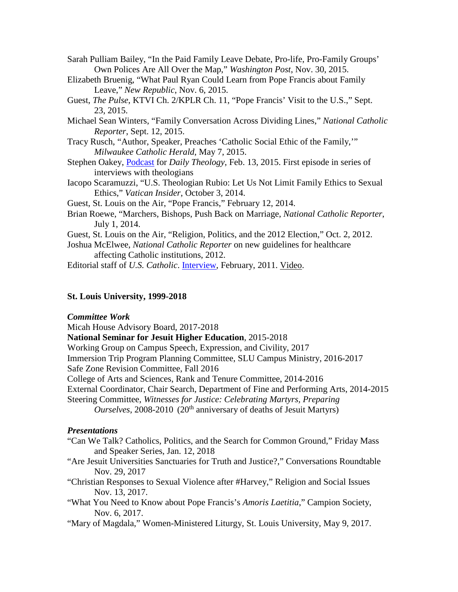Sarah Pulliam Bailey, "In the Paid Family Leave Debate, Pro-life, Pro-Family Groups' Own Polices Are All Over the Map," *Washington Post*, Nov. 30, 2015.

- Elizabeth Bruenig, "What Paul Ryan Could Learn from Pope Francis about Family Leave," *New Republic*, Nov. 6, 2015.
- Guest, *The Pulse*, KTVI Ch. 2/KPLR Ch. 11, "Pope Francis' Visit to the U.S.," Sept. 23, 2015.
- Michael Sean Winters, "Family Conversation Across Dividing Lines," *National Catholic Reporter*, Sept. 12, 2015.
- Tracy Rusch, "Author, Speaker, Preaches 'Catholic Social Ethic of the Family,'" *Milwaukee Catholic Herald*, May 7, 2015.
- Stephen Oakey, [Podcast](https://dailytheology.org/2015/04/14/dt-podcast-episode-1-julie-hanlon-rubio/) for *Daily Theology*, Feb. 13, 2015. First episode in series of interviews with theologians
- Iacopo Scaramuzzi, "U.S. Theologian Rubio: Let Us Not Limit Family Ethics to Sexual Ethics," *Vatican Insider*, October 3, 2014.
- Guest, St. Louis on the Air, "Pope Francis," February 12, 2014.
- Brian Roewe, "Marchers, Bishops, Push Back on Marriage, *National Catholic Reporter*, July 1, 2014.
- Guest, St. Louis on the Air, "Religion, Politics, and the 2012 Election," Oct. 2, 2012.
- Joshua McElwee, *National Catholic Reporter* on new guidelines for healthcare affecting Catholic institutions, 2012.

Editorial staff of *U.S. Catholic*. [Interview,](https://www.uscatholic.org/life/2011/01/dont-focus-family) February, 2011. [Video.](http://www.uscatholic.org/video/5-questions-julie-hanlon-rubio-family-and-faith.)

# **St. Louis University, 1999-2018**

### *Committee Work*

Micah House Advisory Board, 2017-2018

**National Seminar for Jesuit Higher Education**, 2015-2018

Working Group on Campus Speech, Expression, and Civility, 2017

Immersion Trip Program Planning Committee, SLU Campus Ministry, 2016-2017

Safe Zone Revision Committee, Fall 2016

College of Arts and Sciences, Rank and Tenure Committee, 2014-2016

- External Coordinator, Chair Search, Department of Fine and Performing Arts, 2014-2015
- Steering Committee, *Witnesses for Justice: Celebrating Martyrs, Preparing*

*Ourselves*, 2008-2010 (20<sup>th</sup> anniversary of deaths of Jesuit Martyrs)

### *Presentations*

- "Can We Talk? Catholics, Politics, and the Search for Common Ground," Friday Mass and Speaker Series, Jan. 12, 2018
- "Are Jesuit Universities Sanctuaries for Truth and Justice?," Conversations Roundtable Nov. 29, 2017
- "Christian Responses to Sexual Violence after #Harvey," Religion and Social Issues Nov. 13, 2017.
- "What You Need to Know about Pope Francis's *Amoris Laetitia*," Campion Society, Nov. 6, 2017.
- "Mary of Magdala," Women-Ministered Liturgy, St. Louis University, May 9, 2017.